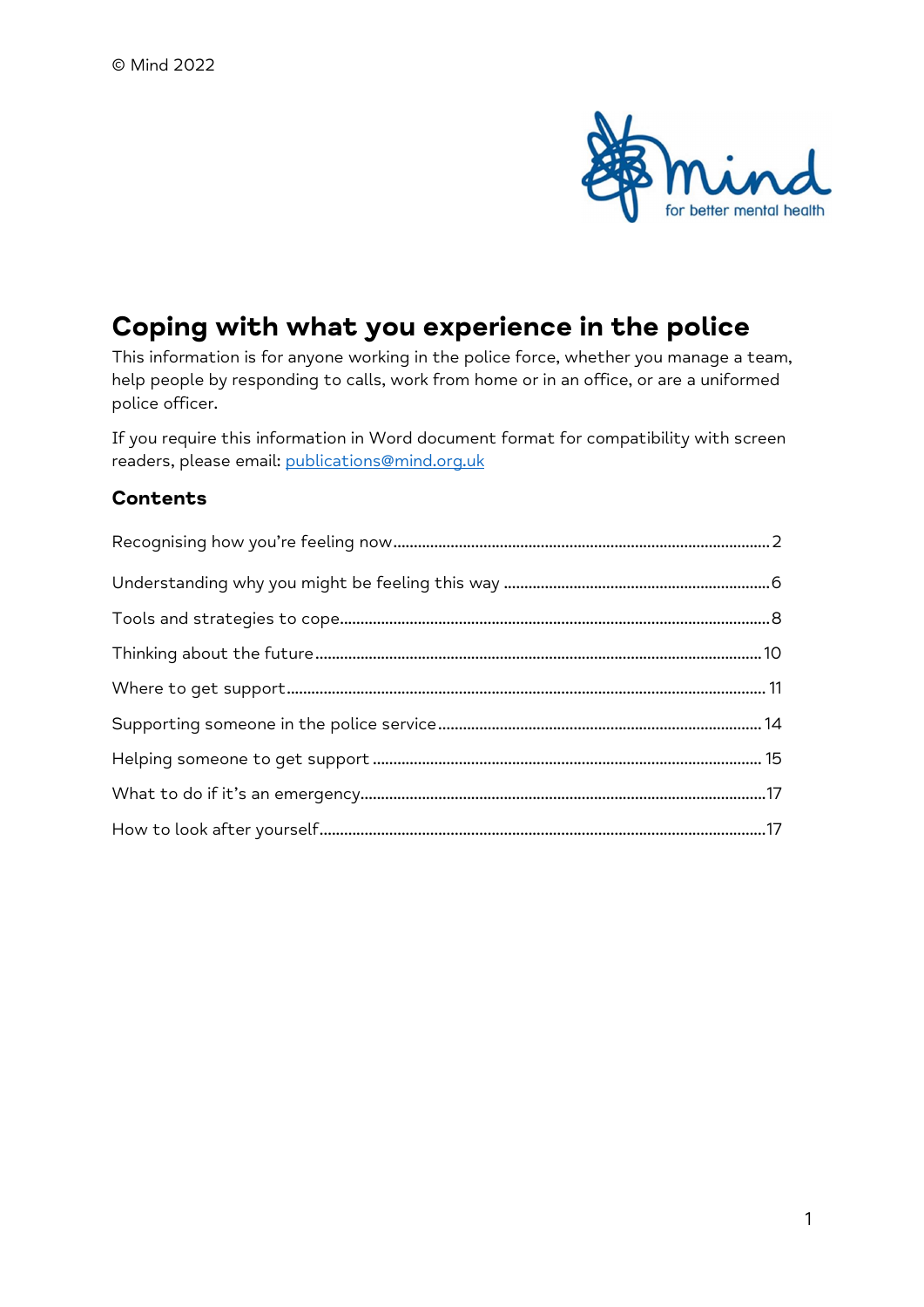

# Coping with what you experience in the police

This information is for anyone working in the police force, whether you manage a team, help people by responding to calls, work from home or in an office, or are a uniformed police officer.

If you require this information in Word document format for compatibility with screen readers, please email: publications@mind.org.uk

# **Contents**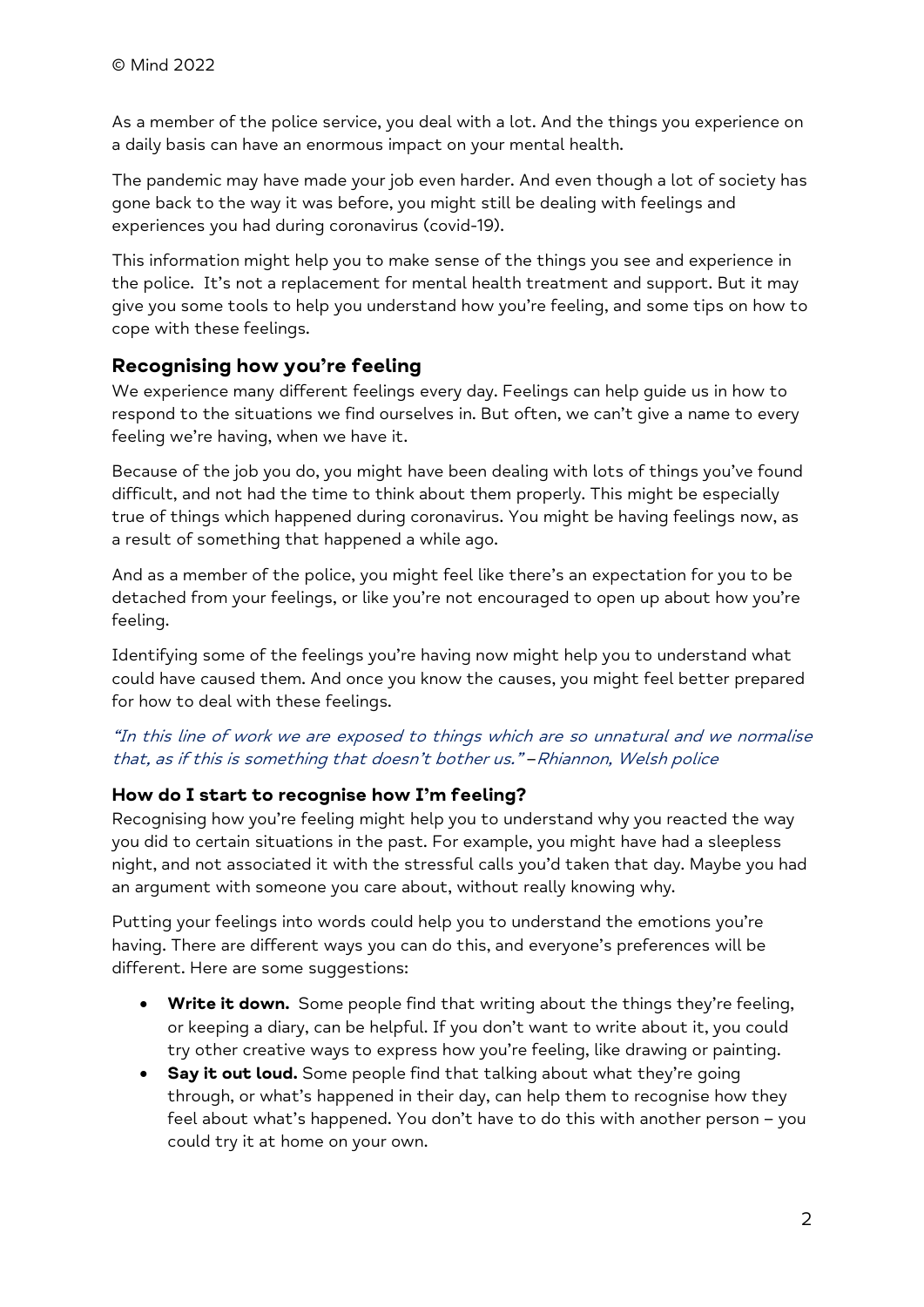As a member of the police service, you deal with a lot. And the things you experience on a daily basis can have an enormous impact on your mental health.

The pandemic may have made your job even harder. And even though a lot of society has gone back to the way it was before, you might still be dealing with feelings and experiences you had during coronavirus (covid-19).

This information might help you to make sense of the things you see and experience in the police. It's not a replacement for mental health treatment and support. But it may give you some tools to help you understand how you're feeling, and some tips on how to cope with these feelings.

# Recognising how you're feeling

We experience many different feelings every day. Feelings can help guide us in how to respond to the situations we find ourselves in. But often, we can't give a name to every feeling we're having, when we have it.

Because of the job you do, you might have been dealing with lots of things you've found difficult, and not had the time to think about them properly. This might be especially true of things which happened during coronavirus. You might be having feelings now, as a result of something that happened a while ago.

And as a member of the police, you might feel like there's an expectation for you to be detached from your feelings, or like you're not encouraged to open up about how you're feeling.

Identifying some of the feelings you're having now might help you to understand what could have caused them. And once you know the causes, you might feel better prepared for how to deal with these feelings.

### "In this line of work we are exposed to things which are so unnatural and we normalise that, as if this is something that doesn't bother us." –Rhiannon, Welsh police

# How do I start to recognise how I'm feeling?

Recognising how you're feeling might help you to understand why you reacted the way you did to certain situations in the past. For example, you might have had a sleepless night, and not associated it with the stressful calls you'd taken that day. Maybe you had an argument with someone you care about, without really knowing why.

Putting your feelings into words could help you to understand the emotions you're having. There are different ways you can do this, and everyone's preferences will be different. Here are some suggestions:

- **Write it down.** Some people find that writing about the things they're feeling, or keeping a diary, can be helpful. If you don't want to write about it, you could try other creative ways to express how you're feeling, like drawing or painting.
- Say it out loud. Some people find that talking about what they're going through, or what's happened in their day, can help them to recognise how they feel about what's happened. You don't have to do this with another person – you could try it at home on your own.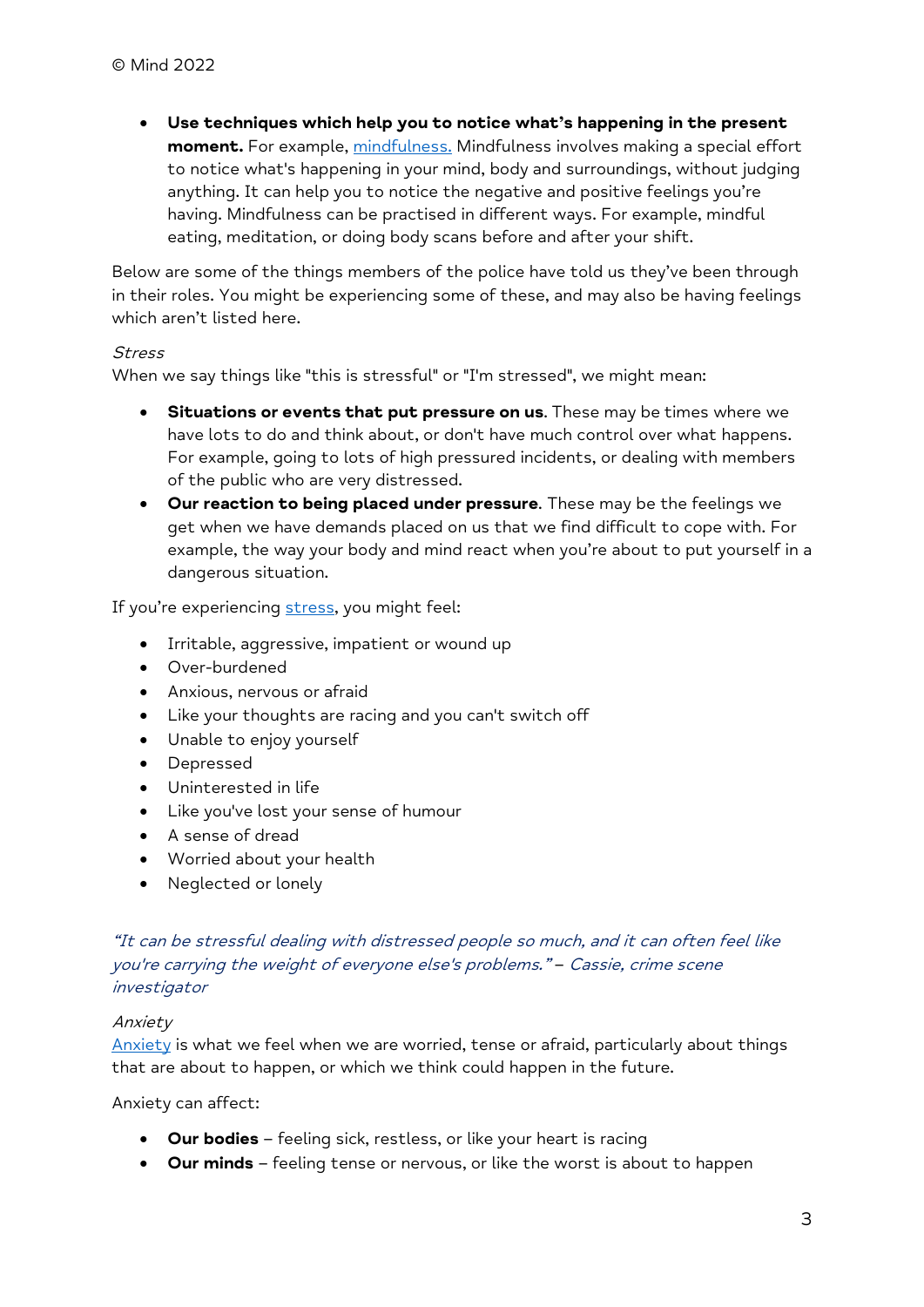Use techniques which help you to notice what's happening in the present moment. For example, mindfulness. Mindfulness involves making a special effort to notice what's happening in your mind, body and surroundings, without judging anything. It can help you to notice the negative and positive feelings you're having. Mindfulness can be practised in different ways. For example, mindful eating, meditation, or doing body scans before and after your shift.

Below are some of the things members of the police have told us they've been through in their roles. You might be experiencing some of these, and may also be having feelings which aren't listed here.

### **Stress**

When we say things like "this is stressful" or "I'm stressed", we might mean:

- Situations or events that put pressure on us. These may be times where we have lots to do and think about, or don't have much control over what happens. For example, going to lots of high pressured incidents, or dealing with members of the public who are very distressed.
- Our reaction to being placed under pressure. These may be the feelings we get when we have demands placed on us that we find difficult to cope with. For example, the way your body and mind react when you're about to put yourself in a dangerous situation.

If you're experiencing stress, you might feel:

- Irritable, aggressive, impatient or wound up
- Over-burdened
- Anxious, nervous or afraid
- Like your thoughts are racing and you can't switch off
- Unable to enjoy yourself
- Depressed
- Uninterested in life
- Like you've lost your sense of humour
- A sense of dread
- Worried about your health
- Neglected or lonely

### "It can be stressful dealing with distressed people so much, and it can often feel like you're carrying the weight of everyone else's problems." – Cassie, crime scene investigator

#### Anxiety

Anxiety is what we feel when we are worried, tense or afraid, particularly about things that are about to happen, or which we think could happen in the future.

Anxiety can affect:

- Our bodies feeling sick, restless, or like your heart is racing
- Our minds feeling tense or nervous, or like the worst is about to happen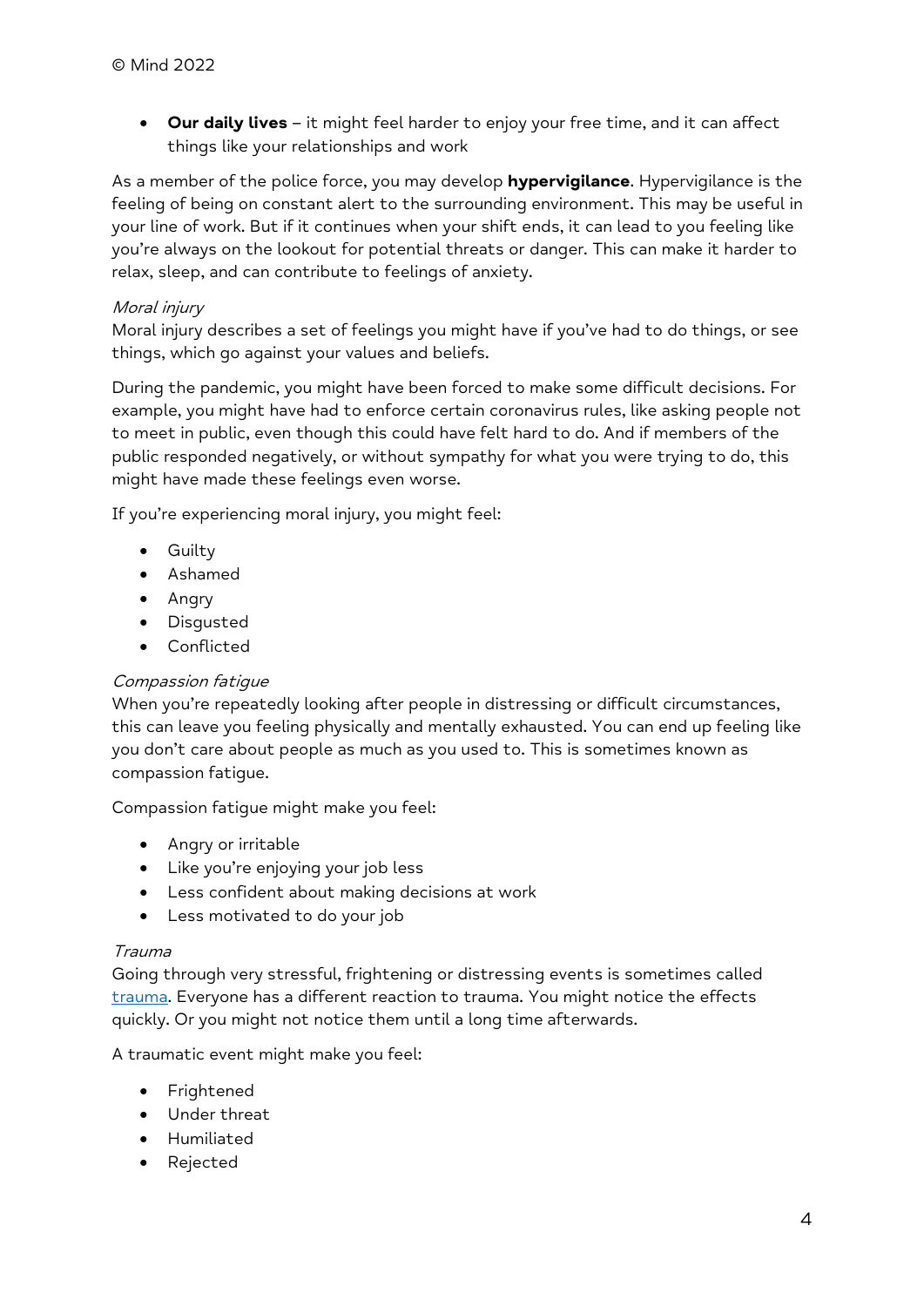• Our daily lives - it might feel harder to enjoy your free time, and it can affect things like your relationships and work

As a member of the police force, you may develop hypervigilance. Hypervigilance is the feeling of being on constant alert to the surrounding environment. This may be useful in your line of work. But if it continues when your shift ends, it can lead to you feeling like you're always on the lookout for potential threats or danger. This can make it harder to relax, sleep, and can contribute to feelings of anxiety.

### Moral injury

Moral injury describes a set of feelings you might have if you've had to do things, or see things, which go against your values and beliefs.

During the pandemic, you might have been forced to make some difficult decisions. For example, you might have had to enforce certain coronavirus rules, like asking people not to meet in public, even though this could have felt hard to do. And if members of the public responded negatively, or without sympathy for what you were trying to do, this might have made these feelings even worse.

If you're experiencing moral injury, you might feel:

- **•** Guilty
- Ashamed
- Angry
- Disgusted
- Conflicted

### Compassion fatigue

When you're repeatedly looking after people in distressing or difficult circumstances, this can leave you feeling physically and mentally exhausted. You can end up feeling like you don't care about people as much as you used to. This is sometimes known as compassion fatigue.

Compassion fatigue might make you feel:

- Angry or irritable
- Like you're enjoying your job less
- Less confident about making decisions at work
- Less motivated to do your job

#### Trauma

Going through very stressful, frightening or distressing events is sometimes called trauma. Everyone has a different reaction to trauma. You might notice the effects quickly. Or you might not notice them until a long time afterwards.

A traumatic event might make you feel:

- **•** Frightened
- Under threat
- Humiliated
- Rejected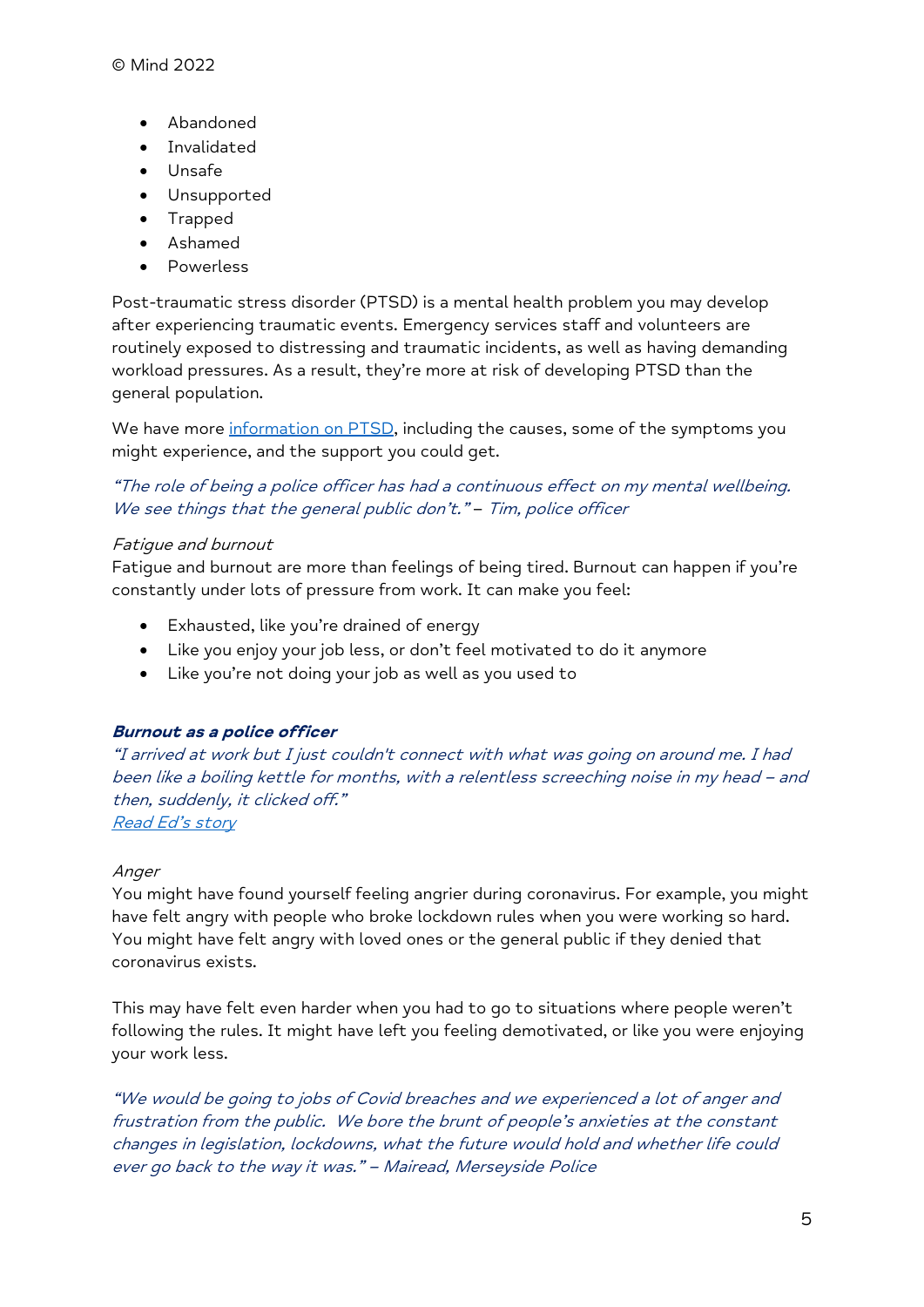- Abandoned
- **·** Invalidated
- Unsafe
- Unsupported
- Trapped
- Ashamed
- Powerless

Post-traumatic stress disorder (PTSD) is a mental health problem you may develop after experiencing traumatic events. Emergency services staff and volunteers are routinely exposed to distressing and traumatic incidents, as well as having demanding workload pressures. As a result, they're more at risk of developing PTSD than the general population.

We have more information on PTSD, including the causes, some of the symptoms you might experience, and the support you could get.

"The role of being a police officer has had a continuous effect on my mental wellbeing. We see things that the general public don't." - Tim, police officer

### Fatigue and burnout

Fatigue and burnout are more than feelings of being tired. Burnout can happen if you're constantly under lots of pressure from work. It can make you feel:

- Exhausted, like you're drained of energy
- Like you enjoy your job less, or don't feel motivated to do it anymore
- Like you're not doing your job as well as you used to

#### Burnout as a police officer

"I arrived at work but I just couldn't connect with what was going on around me. I had been like a boiling kettle for months, with a relentless screeching noise in my head – and then, suddenly, it clicked off." Read Ed's story

#### Anger

You might have found yourself feeling angrier during coronavirus. For example, you might have felt angry with people who broke lockdown rules when you were working so hard. You might have felt angry with loved ones or the general public if they denied that coronavirus exists.

This may have felt even harder when you had to go to situations where people weren't following the rules. It might have left you feeling demotivated, or like you were enjoying your work less.

"We would be going to jobs of Covid breaches and we experienced a lot of anger and frustration from the public. We bore the brunt of people's anxieties at the constant changes in legislation, lockdowns, what the future would hold and whether life could ever go back to the way it was." – Mairead, Merseyside Police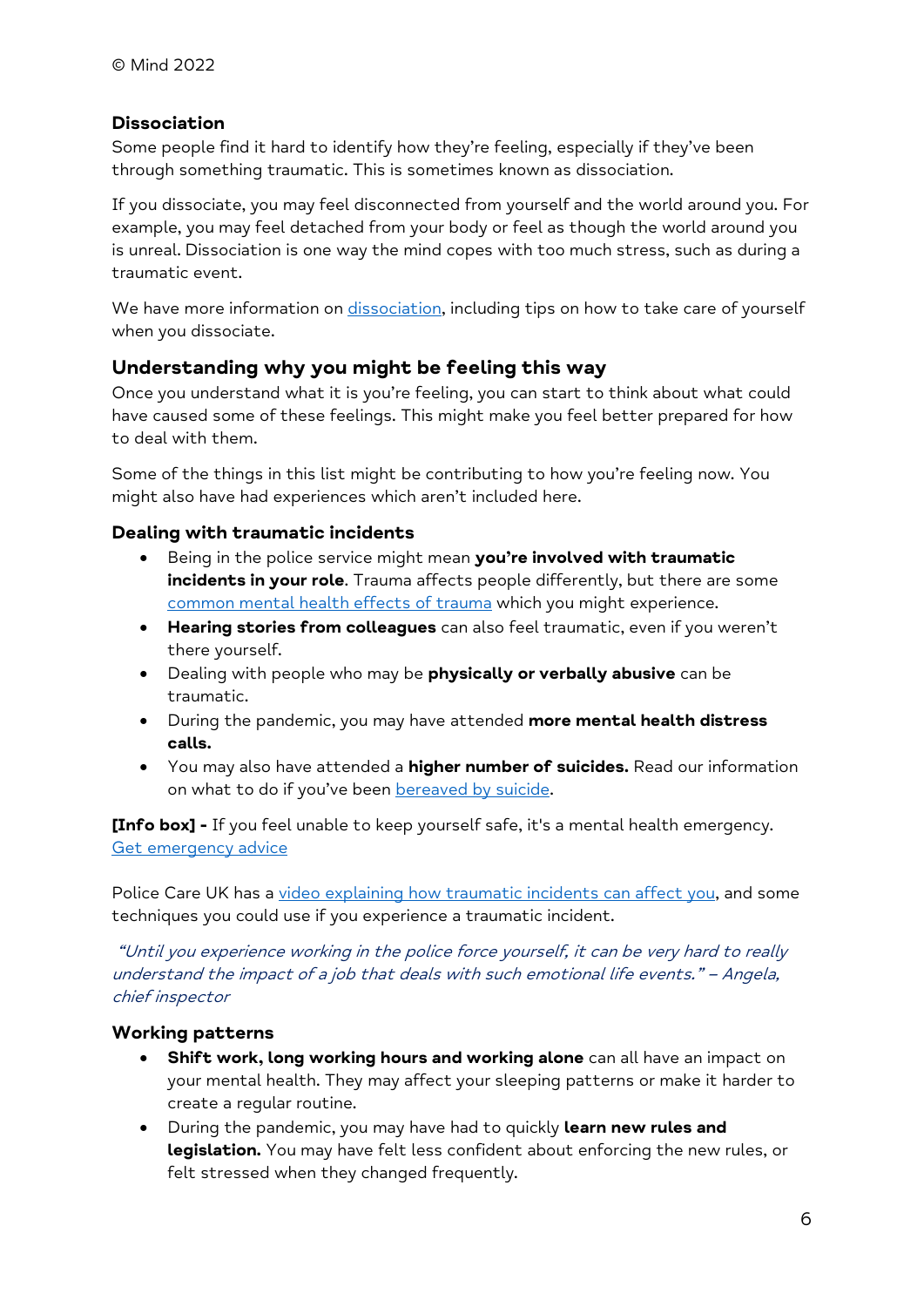### Dissociation

Some people find it hard to identify how they're feeling, especially if they've been through something traumatic. This is sometimes known as dissociation.

If you dissociate, you may feel disconnected from yourself and the world around you. For example, you may feel detached from your body or feel as though the world around you is unreal. Dissociation is one way the mind copes with too much stress, such as during a traumatic event.

We have more information on dissociation, including tips on how to take care of yourself when you dissociate.

### Understanding why you might be feeling this way

Once you understand what it is you're feeling, you can start to think about what could have caused some of these feelings. This might make you feel better prepared for how to deal with them.

Some of the things in this list might be contributing to how you're feeling now. You might also have had experiences which aren't included here.

### Dealing with traumatic incidents

- Being in the police service might mean you're involved with traumatic incidents in your role. Trauma affects people differently, but there are some common mental health effects of trauma which you might experience.
- Hearing stories from colleagues can also feel traumatic, even if you weren't there yourself.
- Dealing with people who may be physically or verbally abusive can be traumatic.
- During the pandemic, you may have attended more mental health distress calls.
- You may also have attended a **higher number of suicides.** Read our information on what to do if you've been bereaved by suicide.

[Info box] - If you feel unable to keep yourself safe, it's a mental health emergency. Get emergency advice

Police Care UK has a video explaining how traumatic incidents can affect you, and some techniques you could use if you experience a traumatic incident.

 "Until you experience working in the police force yourself, it can be very hard to really understand the impact of a job that deals with such emotional life events." – Angela, chief inspector

### Working patterns

- **Shift work, long working hours and working alone** can all have an impact on your mental health. They may affect your sleeping patterns or make it harder to create a regular routine.
- During the pandemic, you may have had to quickly learn new rules and legislation. You may have felt less confident about enforcing the new rules, or felt stressed when they changed frequently.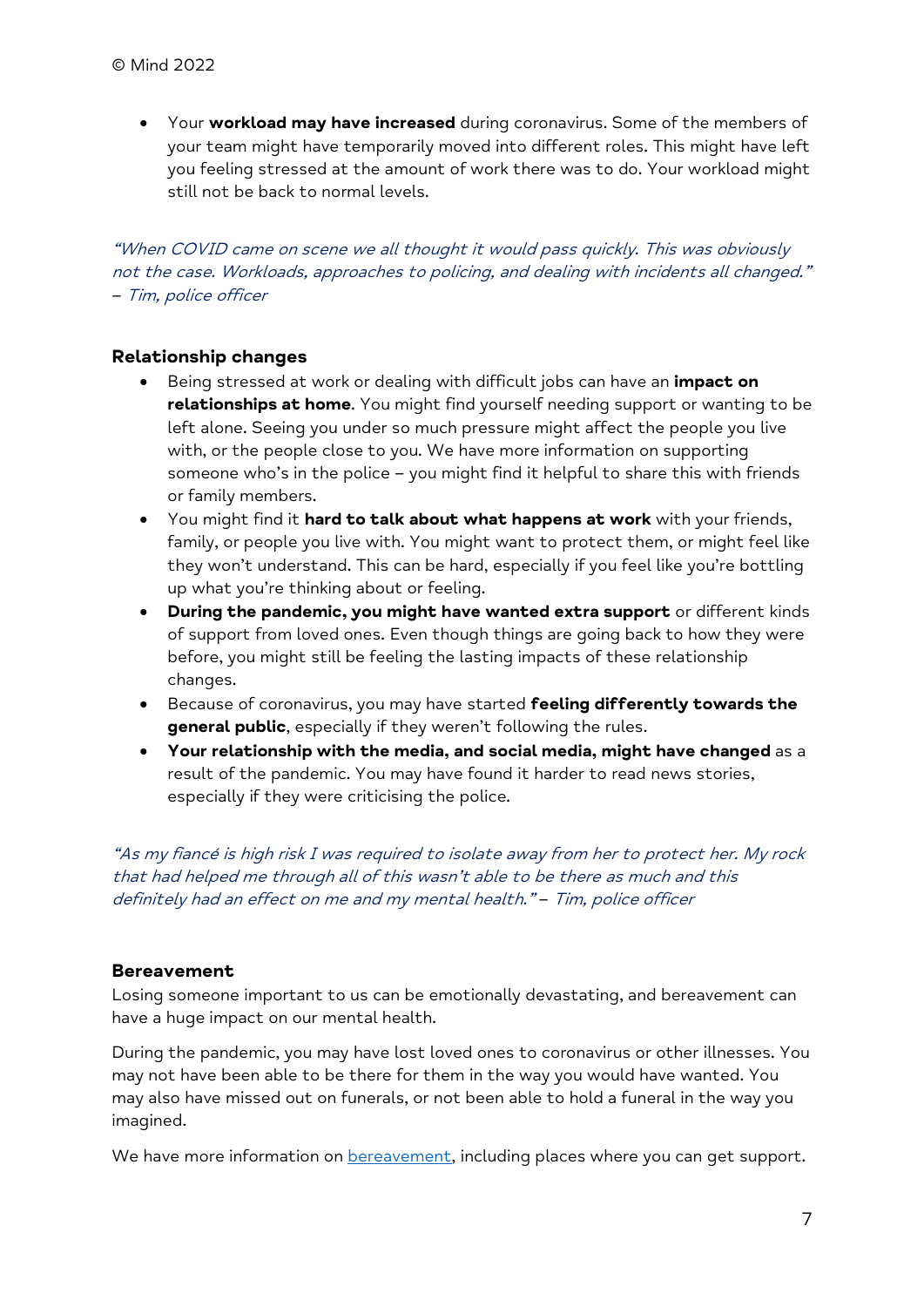• Your workload may have increased during coronavirus. Some of the members of your team might have temporarily moved into different roles. This might have left you feeling stressed at the amount of work there was to do. Your workload might still not be back to normal levels.

"When COVID came on scene we all thought it would pass quickly. This was obviously not the case. Workloads, approaches to policing, and dealing with incidents all changed." – Tim, police officer

#### Relationship changes

- Being stressed at work or dealing with difficult jobs can have an *impact on* relationships at home. You might find yourself needing support or wanting to be left alone. Seeing you under so much pressure might affect the people you live with, or the people close to you. We have more information on supporting someone who's in the police – you might find it helpful to share this with friends or family members.
- You might find it hard to talk about what happens at work with your friends, family, or people you live with. You might want to protect them, or might feel like they won't understand. This can be hard, especially if you feel like you're bottling up what you're thinking about or feeling.
- During the pandemic, you might have wanted extra support or different kinds of support from loved ones. Even though things are going back to how they were before, you might still be feeling the lasting impacts of these relationship changes.
- **•** Because of coronavirus, you may have started feeling differently towards the general public, especially if they weren't following the rules.
- Your relationship with the media, and social media, might have changed as a result of the pandemic. You may have found it harder to read news stories, especially if they were criticising the police.

"As my fiancé is high risk I was required to isolate away from her to protect her. My rock that had helped me through all of this wasn't able to be there as much and this definitely had an effect on me and my mental health." – Tim, police officer

#### Bereavement

Losing someone important to us can be emotionally devastating, and bereavement can have a huge impact on our mental health.

During the pandemic, you may have lost loved ones to coronavirus or other illnesses. You may not have been able to be there for them in the way you would have wanted. You may also have missed out on funerals, or not been able to hold a funeral in the way you imagined.

We have more information on **bereavement**, including places where you can get support.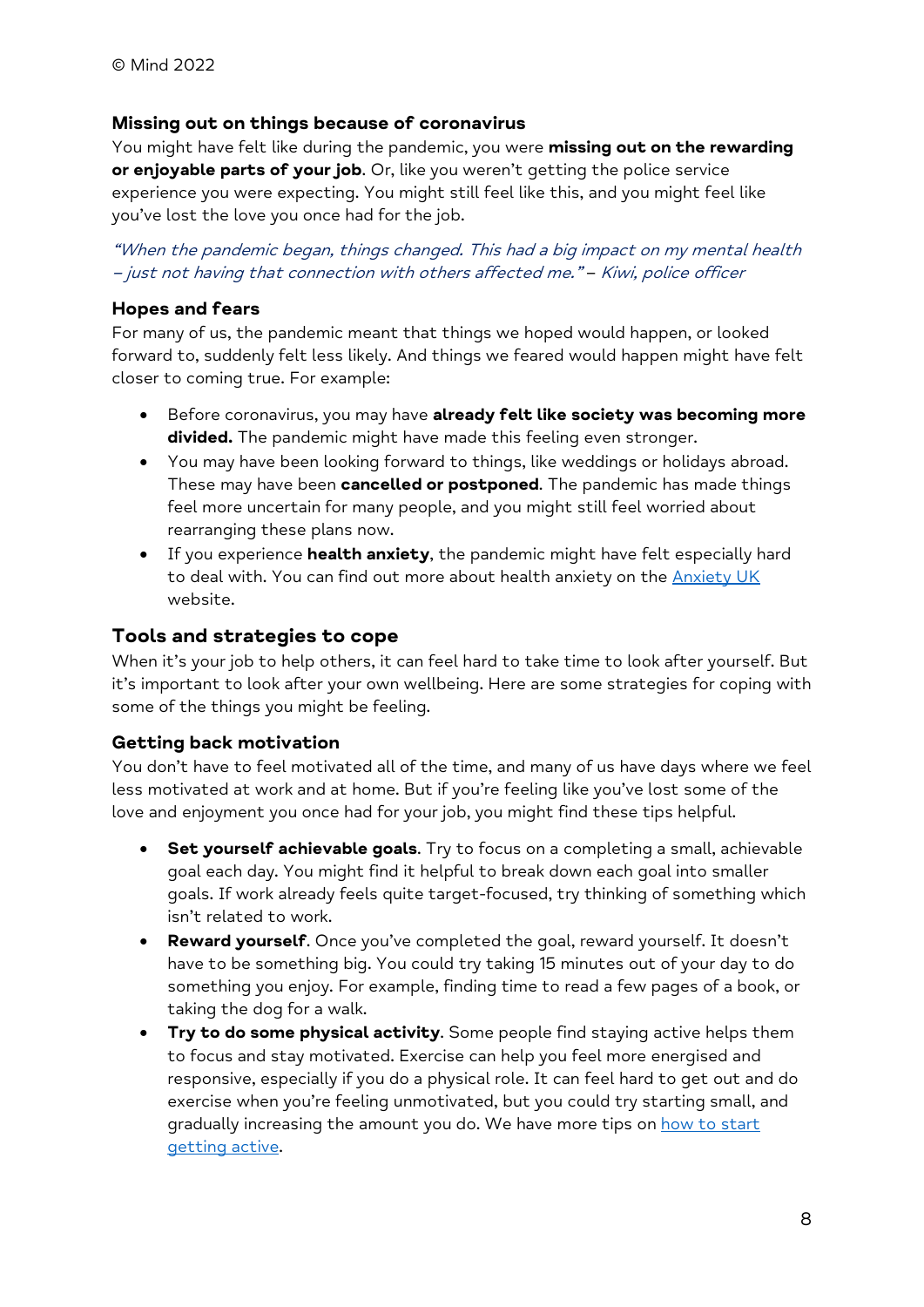### Missing out on things because of coronavirus

You might have felt like during the pandemic, you were missing out on the rewarding or enjoyable parts of your job. Or, like you weren't getting the police service experience you were expecting. You might still feel like this, and you might feel like you've lost the love you once had for the job.

"When the pandemic began, things changed. This had a big impact on my mental health – just not having that connection with others affected me." – Kiwi, police officer

### Hopes and fears

For many of us, the pandemic meant that things we hoped would happen, or looked forward to, suddenly felt less likely. And things we feared would happen might have felt closer to coming true. For example:

- . Before coronavirus, you may have already felt like society was becoming more divided. The pandemic might have made this feeling even stronger.
- You may have been looking forward to things, like weddings or holidays abroad. These may have been **cancelled or postponed**. The pandemic has made things feel more uncertain for many people, and you might still feel worried about rearranging these plans now.
- If you experience health anxiety, the pandemic might have felt especially hard to deal with. You can find out more about health anxiety on the Anxiety UK website.

# Tools and strategies to cope

When it's your job to help others, it can feel hard to take time to look after yourself. But it's important to look after your own wellbeing. Here are some strategies for coping with some of the things you might be feeling.

### Getting back motivation

You don't have to feel motivated all of the time, and many of us have days where we feel less motivated at work and at home. But if you're feeling like you've lost some of the love and enjoyment you once had for your job, you might find these tips helpful.

- Set yourself achievable goals. Try to focus on a completing a small, achievable goal each day. You might find it helpful to break down each goal into smaller goals. If work already feels quite target-focused, try thinking of something which isn't related to work.
- Reward yourself. Once you've completed the goal, reward yourself. It doesn't have to be something big. You could try taking 15 minutes out of your day to do something you enjoy. For example, finding time to read a few pages of a book, or taking the dog for a walk.
- Try to do some physical activity. Some people find staying active helps them to focus and stay motivated. Exercise can help you feel more energised and responsive, especially if you do a physical role. It can feel hard to get out and do exercise when you're feeling unmotivated, but you could try starting small, and gradually increasing the amount you do. We have more tips on how to start getting active.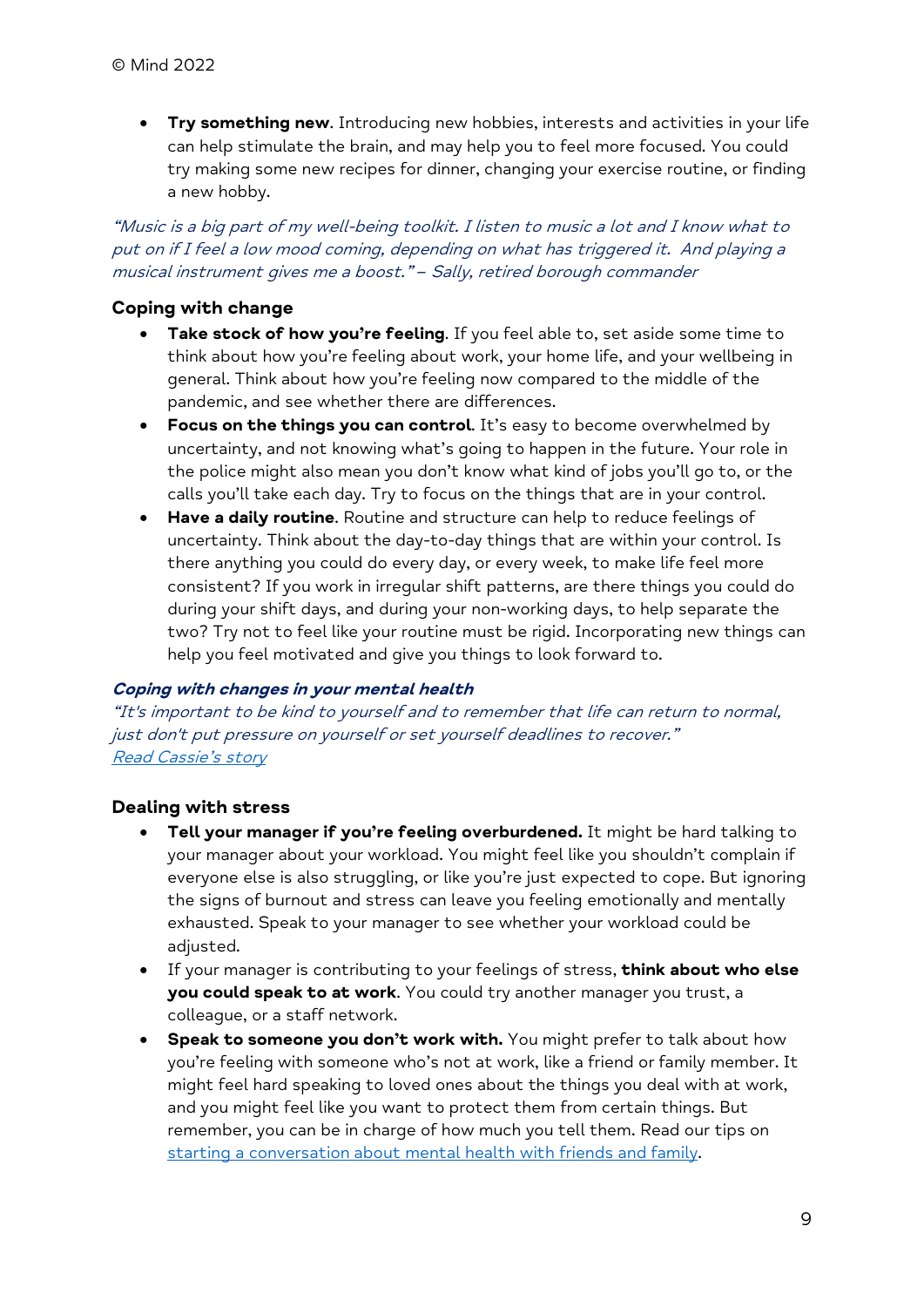**Try something new.** Introducing new hobbies, interests and activities in your life can help stimulate the brain, and may help you to feel more focused. You could try making some new recipes for dinner, changing your exercise routine, or finding a new hobby.

"Music is a big part of my well-being toolkit. I listen to music a lot and I know what to put on if I feel a low mood coming, depending on what has triggered it. And playing a musical instrument gives me a boost." – Sally, retired borough commander

### Coping with change

- Take stock of how you're feeling. If you feel able to, set aside some time to think about how you're feeling about work, your home life, and your wellbeing in general. Think about how you're feeling now compared to the middle of the pandemic, and see whether there are differences.
- Focus on the things you can control. It's easy to become overwhelmed by uncertainty, and not knowing what's going to happen in the future. Your role in the police might also mean you don't know what kind of jobs you'll go to, or the calls you'll take each day. Try to focus on the things that are in your control.
- Have a daily routine. Routine and structure can help to reduce feelings of uncertainty. Think about the day-to-day things that are within your control. Is there anything you could do every day, or every week, to make life feel more consistent? If you work in irregular shift patterns, are there things you could do during your shift days, and during your non-working days, to help separate the two? Try not to feel like your routine must be rigid. Incorporating new things can help you feel motivated and give you things to look forward to.

#### Coping with changes in your mental health

"It's important to be kind to yourself and to remember that life can return to normal, just don't put pressure on yourself or set yourself deadlines to recover." Read Cassie's story

### Dealing with stress

- Tell your manager if you're feeling overburdened. It might be hard talking to your manager about your workload. You might feel like you shouldn't complain if everyone else is also struggling, or like you're just expected to cope. But ignoring the signs of burnout and stress can leave you feeling emotionally and mentally exhausted. Speak to your manager to see whether your workload could be adjusted.
- If your manager is contributing to your feelings of stress, think about who else you could speak to at work. You could try another manager you trust, a colleague, or a staff network.
- Speak to someone you don't work with. You might prefer to talk about how you're feeling with someone who's not at work, like a friend or family member. It might feel hard speaking to loved ones about the things you deal with at work, and you might feel like you want to protect them from certain things. But remember, you can be in charge of how much you tell them. Read our tips on starting a conversation about mental health with friends and family.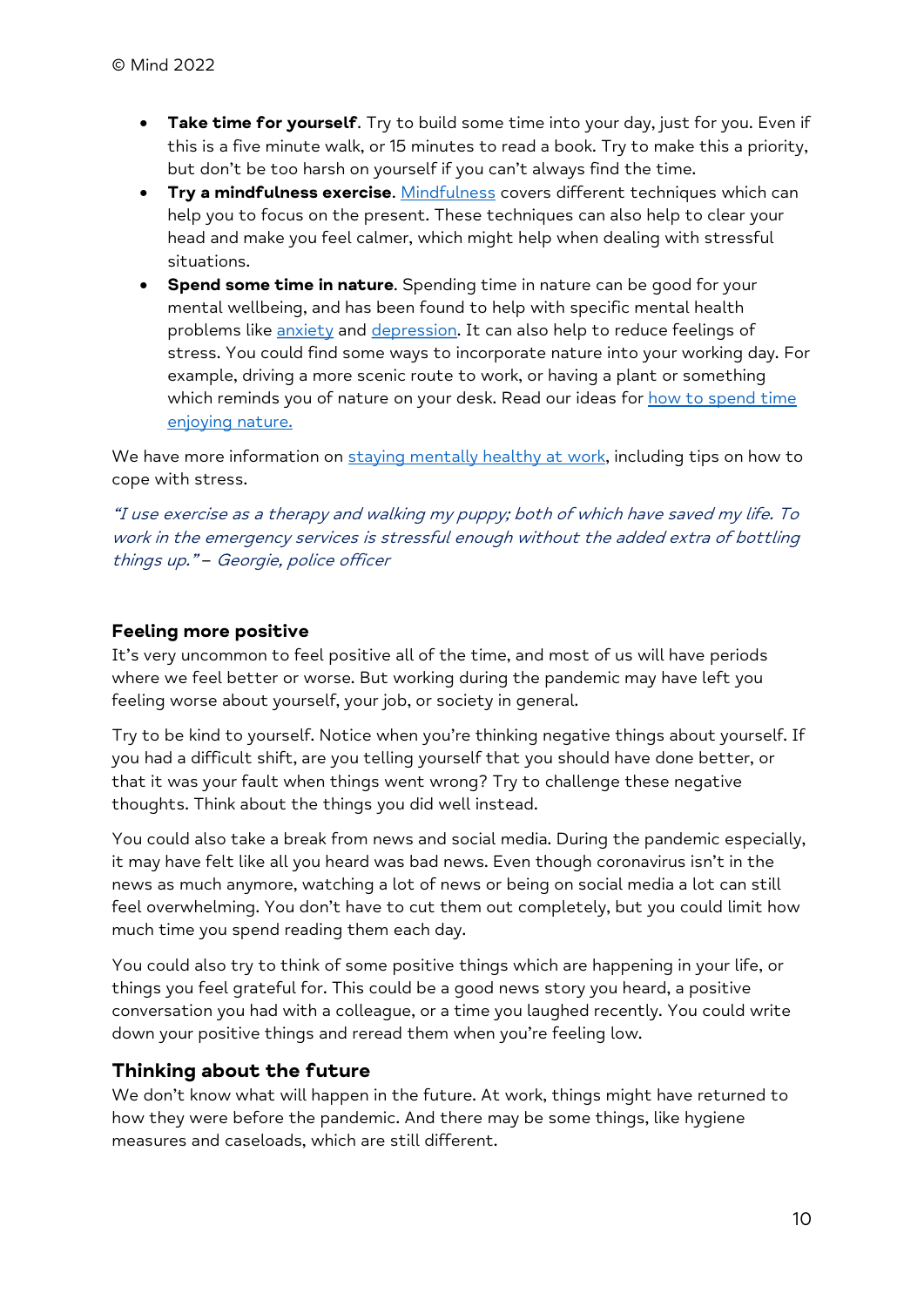- Take time for yourself. Try to build some time into your day, just for you. Even if this is a five minute walk, or 15 minutes to read a book. Try to make this a priority, but don't be too harsh on yourself if you can't always find the time.
- **Try a mindfulness exercise.** Mindfulness covers different techniques which can help you to focus on the present. These techniques can also help to clear your head and make you feel calmer, which might help when dealing with stressful situations.
- Spend some time in nature. Spending time in nature can be good for your mental wellbeing, and has been found to help with specific mental health problems like anxiety and depression. It can also help to reduce feelings of stress. You could find some ways to incorporate nature into your working day. For example, driving a more scenic route to work, or having a plant or something which reminds you of nature on your desk. Read our ideas for how to spend time enjoying nature.

We have more information on staying mentally healthy at work, including tips on how to cope with stress.

"I use exercise as a therapy and walking my puppy; both of which have saved my life. To work in the emergency services is stressful enough without the added extra of bottling things up." - Georgie, police officer

# Feeling more positive

It's very uncommon to feel positive all of the time, and most of us will have periods where we feel better or worse. But working during the pandemic may have left you feeling worse about yourself, your job, or society in general.

Try to be kind to yourself. Notice when you're thinking negative things about yourself. If you had a difficult shift, are you telling yourself that you should have done better, or that it was your fault when things went wrong? Try to challenge these negative thoughts. Think about the things you did well instead.

You could also take a break from news and social media. During the pandemic especially, it may have felt like all you heard was bad news. Even though coronavirus isn't in the news as much anymore, watching a lot of news or being on social media a lot can still feel overwhelming. You don't have to cut them out completely, but you could limit how much time you spend reading them each day.

You could also try to think of some positive things which are happening in your life, or things you feel grateful for. This could be a good news story you heard, a positive conversation you had with a colleague, or a time you laughed recently. You could write down your positive things and reread them when you're feeling low.

# Thinking about the future

We don't know what will happen in the future. At work, things might have returned to how they were before the pandemic. And there may be some things, like hygiene measures and caseloads, which are still different.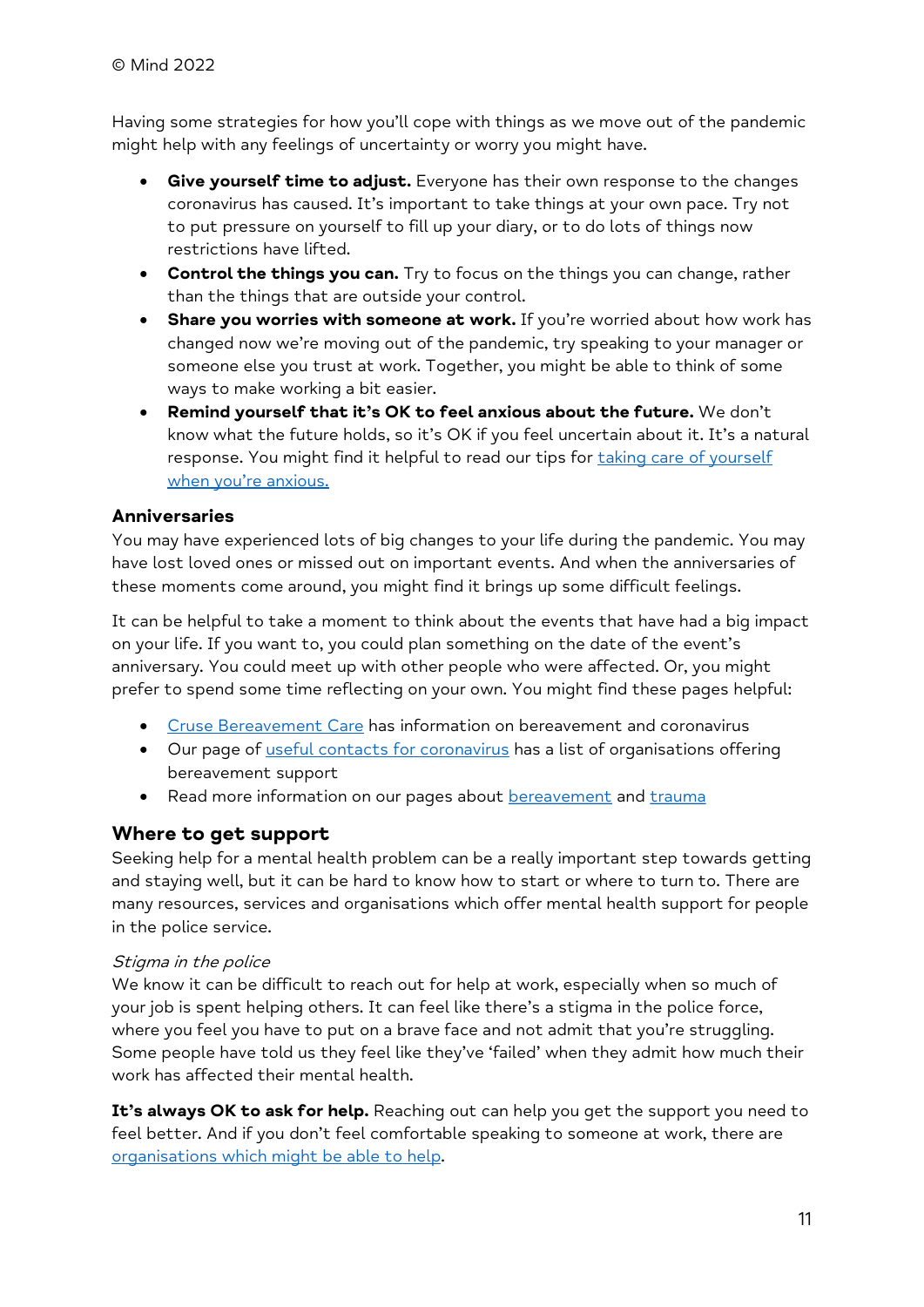Having some strategies for how you'll cope with things as we move out of the pandemic might help with any feelings of uncertainty or worry you might have.

- **Give yourself time to adjust.** Everyone has their own response to the changes coronavirus has caused. It's important to take things at your own pace. Try not to put pressure on yourself to fill up your diary, or to do lots of things now restrictions have lifted.
- Control the things you can. Try to focus on the things you can change, rather than the things that are outside your control.
- Share you worries with someone at work. If you're worried about how work has changed now we're moving out of the pandemic, try speaking to your manager or someone else you trust at work. Together, you might be able to think of some ways to make working a bit easier.
- Remind yourself that it's OK to feel anxious about the future. We don't know what the future holds, so it's OK if you feel uncertain about it. It's a natural response. You might find it helpful to read our tips for taking care of yourself when you're anxious.

### **Anniversaries**

You may have experienced lots of big changes to your life during the pandemic. You may have lost loved ones or missed out on important events. And when the anniversaries of these moments come around, you might find it brings up some difficult feelings.

It can be helpful to take a moment to think about the events that have had a big impact on your life. If you want to, you could plan something on the date of the event's anniversary. You could meet up with other people who were affected. Or, you might prefer to spend some time reflecting on your own. You might find these pages helpful:

- Cruse Bereavement Care has information on bereavement and coronavirus
- Our page of useful contacts for coronavirus has a list of organisations offering bereavement support
- Read more information on our pages about bereavement and trauma

# Where to get support

Seeking help for a mental health problem can be a really important step towards getting and staying well, but it can be hard to know how to start or where to turn to. There are many resources, services and organisations which offer mental health support for people in the police service.

### Stigma in the police

We know it can be difficult to reach out for help at work, especially when so much of your job is spent helping others. It can feel like there's a stigma in the police force, where you feel you have to put on a brave face and not admit that you're struggling. Some people have told us they feel like they've 'failed' when they admit how much their work has affected their mental health.

It's always OK to ask for help. Reaching out can help you get the support you need to feel better. And if you don't feel comfortable speaking to someone at work, there are organisations which might be able to help.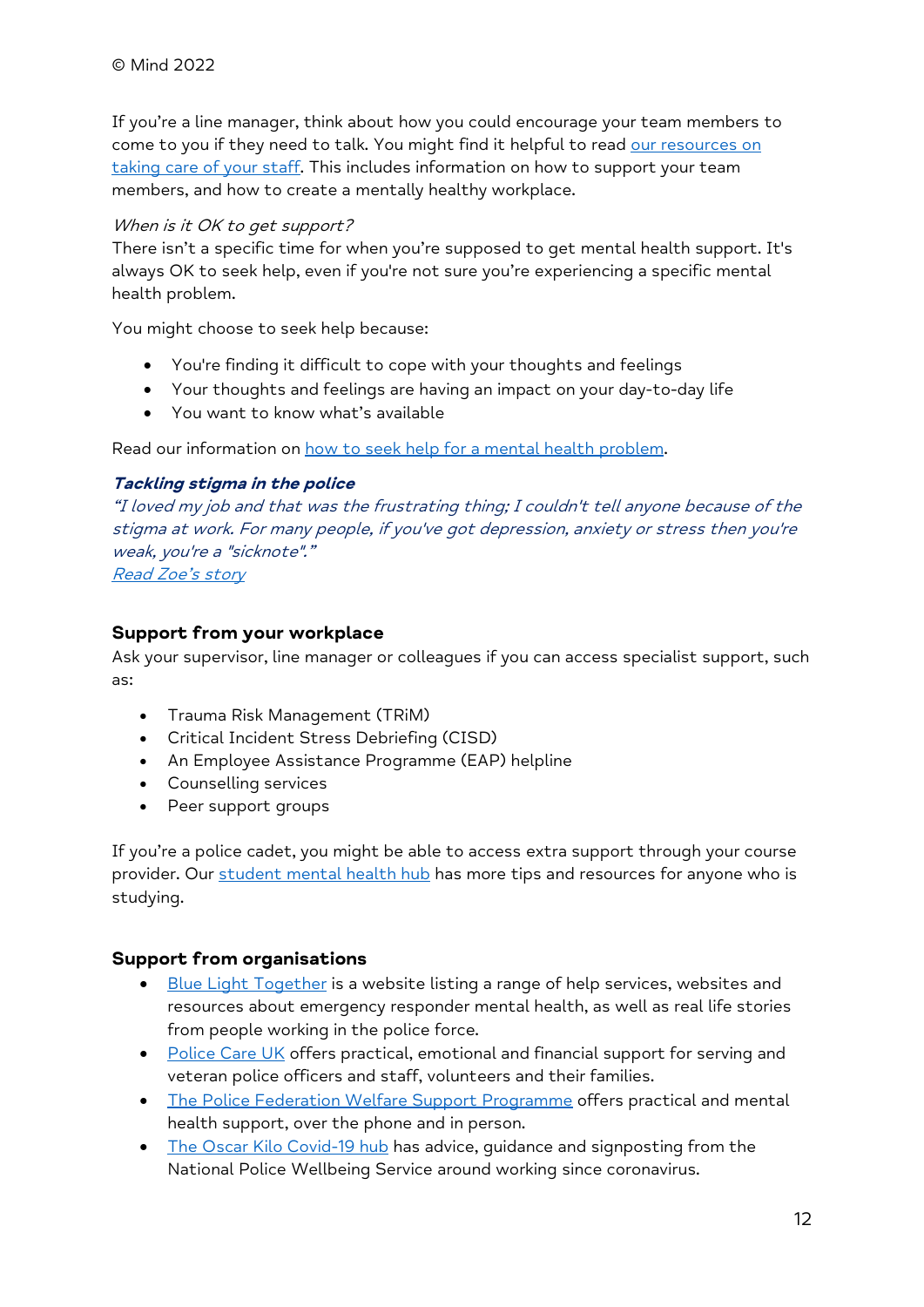If you're a line manager, think about how you could encourage your team members to come to you if they need to talk. You might find it helpful to read our resources on taking care of your staff. This includes information on how to support your team members, and how to create a mentally healthy workplace.

### When is it OK to get support?

There isn't a specific time for when you're supposed to get mental health support. It's always OK to seek help, even if you're not sure you're experiencing a specific mental health problem.

You might choose to seek help because:

- You're finding it difficult to cope with your thoughts and feelings
- Your thoughts and feelings are having an impact on your day-to-day life
- You want to know what's available

Read our information on how to seek help for a mental health problem.

### Tackling stigma in the police

"I loved my job and that was the frustrating thing; I couldn't tell anyone because of the stigma at work. For many people, if you've got depression, anxiety or stress then you're weak, you're a "sicknote"." Read Zoe's story

### Support from your workplace

Ask your supervisor, line manager or colleagues if you can access specialist support, such as:

- Trauma Risk Management (TRiM)
- Critical Incident Stress Debriefing (CISD)
- An Employee Assistance Programme (EAP) helpline
- Counselling services
- Peer support groups

If you're a police cadet, you might be able to access extra support through your course provider. Our student mental health hub has more tips and resources for anyone who is studying.

### Support from organisations

- Blue Light Together is a website listing a range of help services, websites and resources about emergency responder mental health, as well as real life stories from people working in the police force.
- Police Care UK offers practical, emotional and financial support for serving and veteran police officers and staff, volunteers and their families.
- The Police Federation Welfare Support Programme offers practical and mental health support, over the phone and in person.
- The Oscar Kilo Covid-19 hub has advice, quidance and signposting from the National Police Wellbeing Service around working since coronavirus.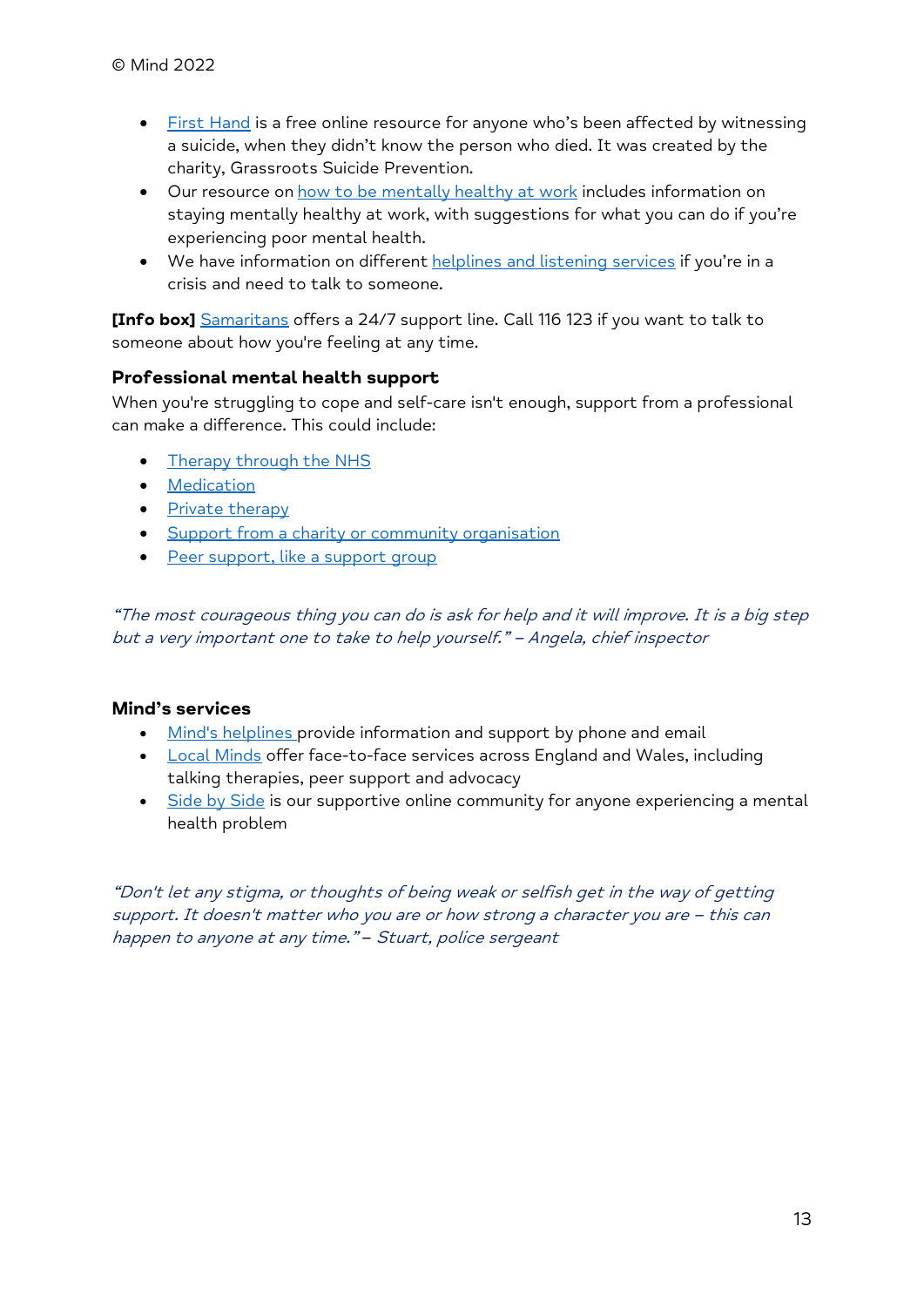- First Hand is a free online resource for anyone who's been affected by witnessing a suicide, when they didn't know the person who died. It was created by the charity, Grassroots Suicide Prevention.
- Our resource on how to be mentally healthy at work includes information on staying mentally healthy at work, with suggestions for what you can do if you're experiencing poor mental health.
- We have information on different helplines and listening services if you're in a crisis and need to talk to someone.

[Info box] Samaritans offers a 24/7 support line. Call 116 123 if you want to talk to someone about how you're feeling at any time.

# Professional mental health support

When you're struggling to cope and self-care isn't enough, support from a professional can make a difference. This could include:

- Therapy through the NHS
- **•** Medication
- Private therapy
- Support from a charity or community organisation
- Peer support, like a support group

"The most courageous thing you can do is ask for help and it will improve. It is a big step but a very important one to take to help yourself." – Angela, chief inspector

### Mind's services

- Mind's helplines provide information and support by phone and email
- Local Minds offer face-to-face services across England and Wales, including talking therapies, peer support and advocacy
- Side by Side is our supportive online community for anyone experiencing a mental health problem

"Don't let any stigma, or thoughts of being weak or selfish get in the way of getting support. It doesn't matter who you are or how strong a character you are – this can happen to anyone at any time." - Stuart, police sergeant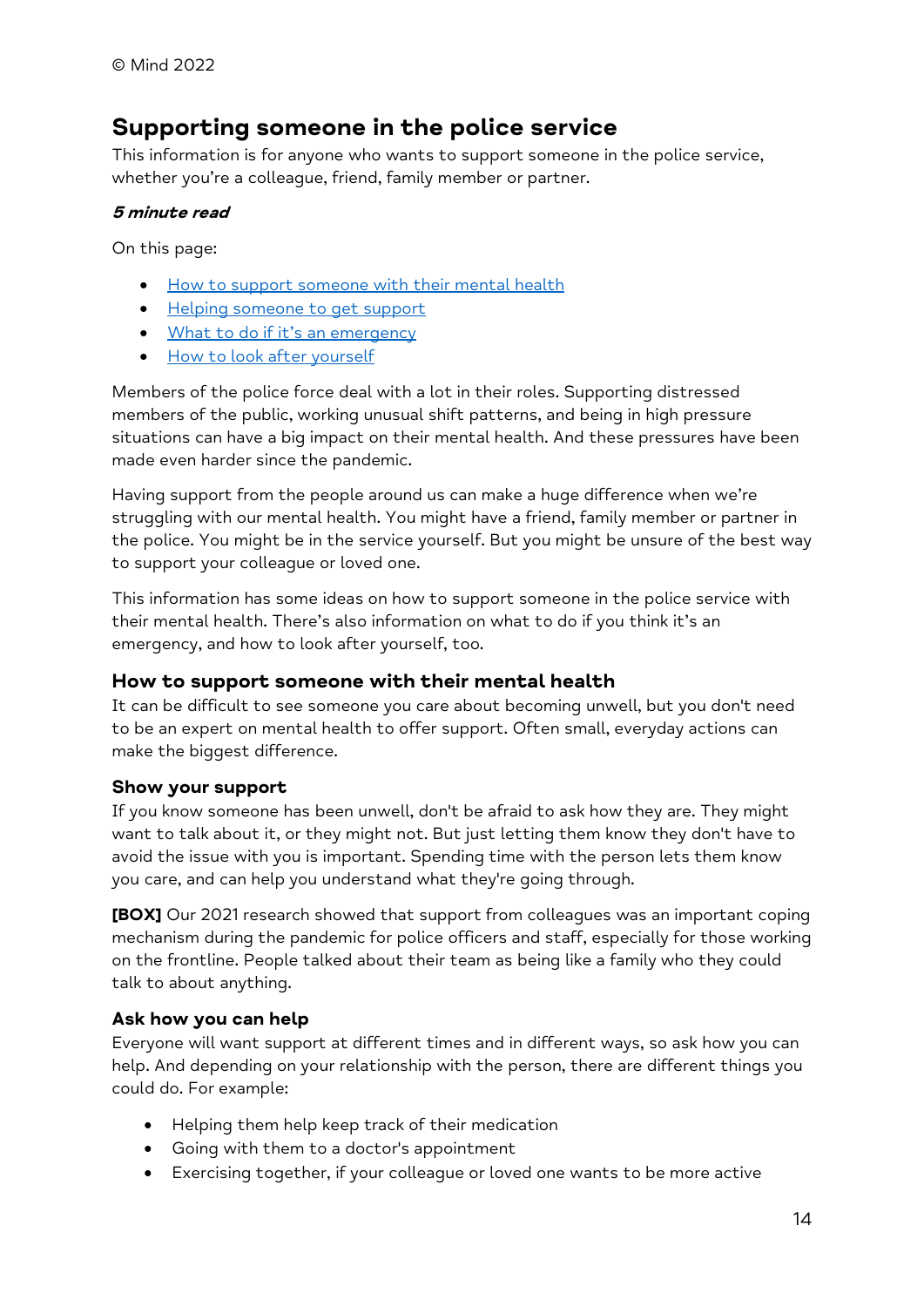# Supporting someone in the police service

This information is for anyone who wants to support someone in the police service, whether you're a colleague, friend, family member or partner.

# 5 minute read

On this page:

- How to support someone with their mental health
- Helping someone to get support
- What to do if it's an emergency
- How to look after yourself

Members of the police force deal with a lot in their roles. Supporting distressed members of the public, working unusual shift patterns, and being in high pressure situations can have a big impact on their mental health. And these pressures have been made even harder since the pandemic.

Having support from the people around us can make a huge difference when we're struggling with our mental health. You might have a friend, family member or partner in the police. You might be in the service yourself. But you might be unsure of the best way to support your colleague or loved one.

This information has some ideas on how to support someone in the police service with their mental health. There's also information on what to do if you think it's an emergency, and how to look after yourself, too.

# How to support someone with their mental health

It can be difficult to see someone you care about becoming unwell, but you don't need to be an expert on mental health to offer support. Often small, everyday actions can make the biggest difference.

### Show your support

If you know someone has been unwell, don't be afraid to ask how they are. They might want to talk about it, or they might not. But just letting them know they don't have to avoid the issue with you is important. Spending time with the person lets them know you care, and can help you understand what they're going through.

[BOX] Our 2021 research showed that support from colleagues was an important coping mechanism during the pandemic for police officers and staff, especially for those working on the frontline. People talked about their team as being like a family who they could talk to about anything.

# Ask how you can help

Everyone will want support at different times and in different ways, so ask how you can help. And depending on your relationship with the person, there are different things you could do. For example:

- Helping them help keep track of their medication
- Going with them to a doctor's appointment
- Exercising together, if your colleague or loved one wants to be more active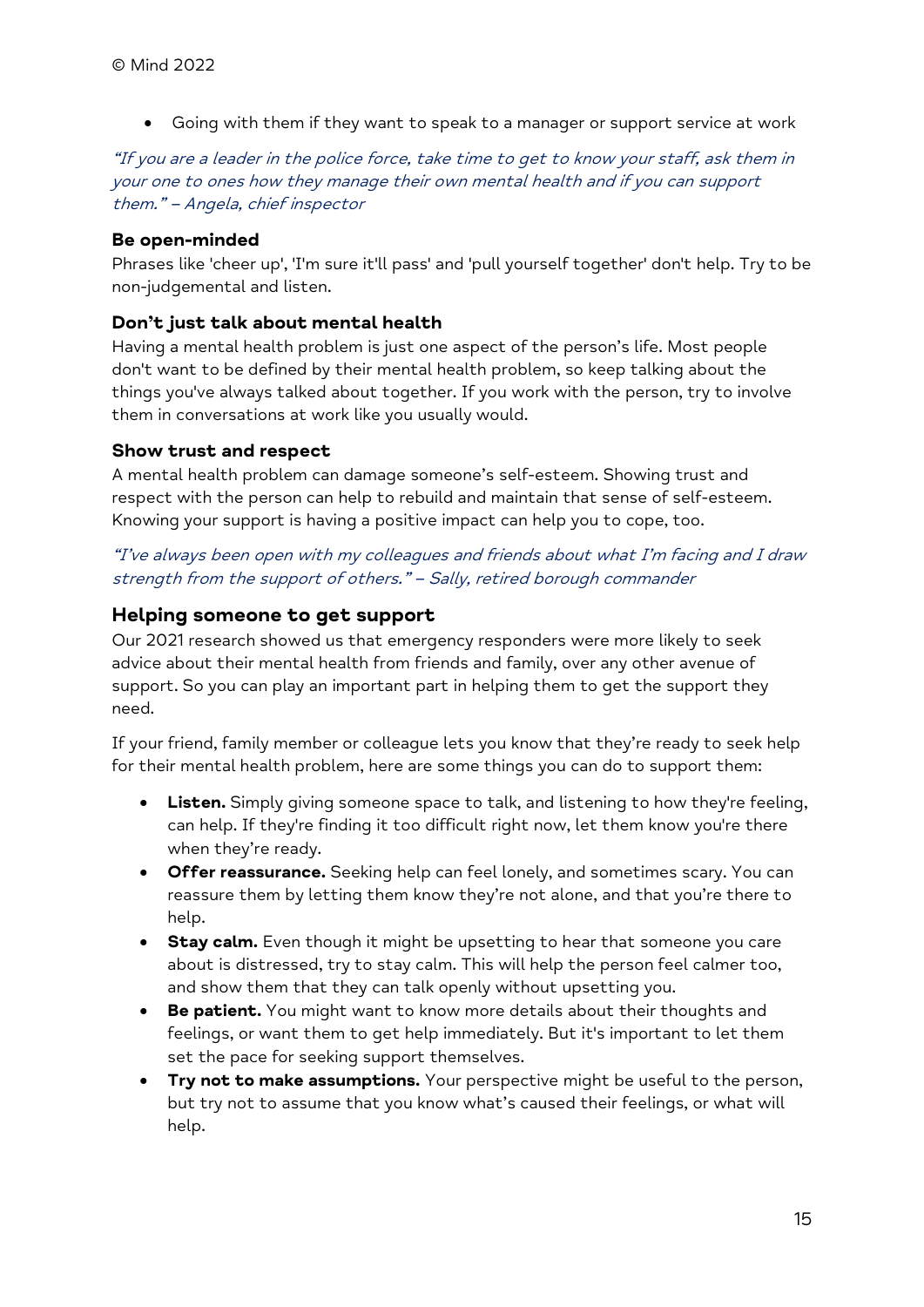Going with them if they want to speak to a manager or support service at work

"If you are a leader in the police force, take time to get to know your staff, ask them in your one to ones how they manage their own mental health and if you can support them." – Angela, chief inspector

### Be open-minded

Phrases like 'cheer up', 'I'm sure it'll pass' and 'pull yourself together' don't help. Try to be non-judgemental and listen.

### Don't just talk about mental health

Having a mental health problem is just one aspect of the person's life. Most people don't want to be defined by their mental health problem, so keep talking about the things you've always talked about together. If you work with the person, try to involve them in conversations at work like you usually would.

### Show trust and respect

A mental health problem can damage someone's self-esteem. Showing trust and respect with the person can help to rebuild and maintain that sense of self-esteem. Knowing your support is having a positive impact can help you to cope, too.

### "I've always been open with my colleagues and friends about what I'm facing and I draw strength from the support of others." – Sally, retired borough commander

### Helping someone to get support

Our 2021 research showed us that emergency responders were more likely to seek advice about their mental health from friends and family, over any other avenue of support. So you can play an important part in helping them to get the support they need.

If your friend, family member or colleague lets you know that they're ready to seek help for their mental health problem, here are some things you can do to support them:

- Listen. Simply giving someone space to talk, and listening to how they're feeling, can help. If they're finding it too difficult right now, let them know you're there when they're ready.
- **Offer reassurance.** Seeking help can feel lonely, and sometimes scary. You can reassure them by letting them know they're not alone, and that you're there to help.
- **Stay calm.** Even though it might be upsetting to hear that someone you care about is distressed, try to stay calm. This will help the person feel calmer too, and show them that they can talk openly without upsetting you.
- **Be patient.** You might want to know more details about their thoughts and feelings, or want them to get help immediately. But it's important to let them set the pace for seeking support themselves.
- **Try not to make assumptions.** Your perspective might be useful to the person, but try not to assume that you know what's caused their feelings, or what will help.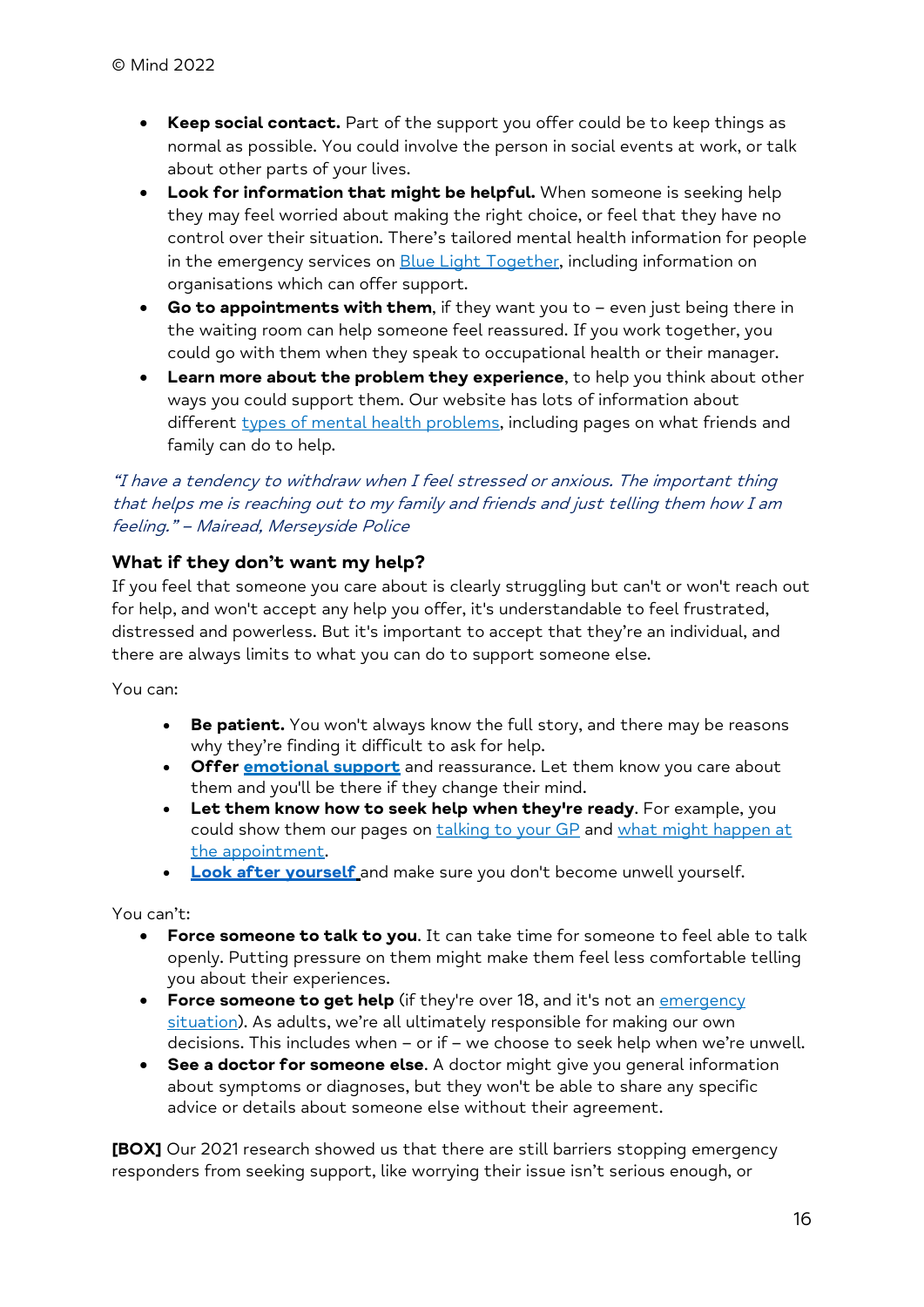- Keep social contact. Part of the support you offer could be to keep things as normal as possible. You could involve the person in social events at work, or talk about other parts of your lives.
- Look for information that might be helpful. When someone is seeking help they may feel worried about making the right choice, or feel that they have no control over their situation. There's tailored mental health information for people in the emergency services on **Blue Light Together**, including information on organisations which can offer support.
- Go to appointments with them, if they want you to  $-$  even just being there in the waiting room can help someone feel reassured. If you work together, you could go with them when they speak to occupational health or their manager.
- Learn more about the problem they experience, to help you think about other ways you could support them. Our website has lots of information about different types of mental health problems, including pages on what friends and family can do to help.

### "I have a tendency to withdraw when I feel stressed or anxious. The important thing that helps me is reaching out to my family and friends and just telling them how I am feeling." – Mairead, Merseyside Police

### What if they don't want my help?

If you feel that someone you care about is clearly struggling but can't or won't reach out for help, and won't accept any help you offer, it's understandable to feel frustrated, distressed and powerless. But it's important to accept that they're an individual, and there are always limits to what you can do to support someone else.

You can:

- Be patient. You won't always know the full story, and there may be reasons why they're finding it difficult to ask for help.
- Offer **emotional support** and reassurance. Let them know you care about them and you'll be there if they change their mind.
- Let them know how to seek help when they're ready. For example, you could show them our pages on talking to your GP and what might happen at the appointment.
- Look after yourself and make sure you don't become unwell yourself.

You can't:

- **Force someone to talk to you.** It can take time for someone to feel able to talk openly. Putting pressure on them might make them feel less comfortable telling you about their experiences.
- Force someone to get help (if they're over 18, and it's not an emergency situation). As adults, we're all ultimately responsible for making our own decisions. This includes when – or if – we choose to seek help when we're unwell.
- See a doctor for someone else. A doctor might give you general information about symptoms or diagnoses, but they won't be able to share any specific advice or details about someone else without their agreement.

[BOX] Our 2021 research showed us that there are still barriers stopping emergency responders from seeking support, like worrying their issue isn't serious enough, or